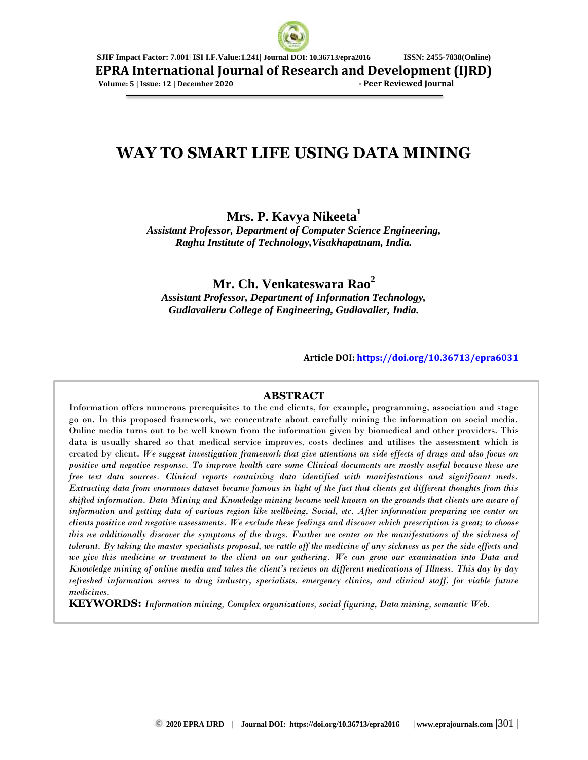

**EPRA International Journal of Research and Development (IJRD)**

 **Volume: 5 | Issue: 12 | December 2020 - Peer Reviewed Journal**

# **WAY TO SMART LIFE USING DATA MINING**

# **Mrs. P. Kavya Nikeeta<sup>1</sup>**

*Assistant Professor, Department of Computer Science Engineering, Raghu Institute of Technology,Visakhapatnam, India.*

**Mr. Ch. Venkateswara Rao<sup>2</sup>**

*Assistant Professor, Department of Information Technology, Gudlavalleru College of Engineering, Gudlavaller, India.*

**Article DOI:<https://doi.org/10.36713/epra6031>**

## **ABSTRACT**

Information offers numerous prerequisites to the end clients, for example, programming, association and stage go on. In this proposed framework, we concentrate about carefully mining the information on social media. Online media turns out to be well known from the information given by biomedical and other providers. This data is usually shared so that medical service improves, costs declines and utilises the assessment which is created by client. *We suggest investigation framework that give attentions on side effects of drugs and also focus on positive and negative response. To improve health care some Clinical documents are mostly useful because these are free text data sources. Clinical reports containing data identified with manifestations and significant meds. Extracting data from enormous dataset became famous in light of the fact that clients get different thoughts from this shifted information. Data Mining and Knowledge mining became well known on the grounds that clients are aware of information and getting data of various region like wellbeing, Social, etc. After information preparing we center on clients positive and negative assessments. We exclude these feelings and discover which prescription is great; to choose this we additionally discover the symptoms of the drugs. Further we center on the manifestations of the sickness of tolerant. By taking the master specialists proposal, we rattle off the medicine of any sickness as per the side effects and we give this medicine or treatment to the client on our gathering. We can grow our examination into Data and Knowledge mining of online media and takes the client's reviews on different medications of Illness. This day by day refreshed information serves to drug industry, specialists, emergency clinics, and clinical staff, for viable future medicines.*

**KEYWORDS:** *Information mining, Complex organizations, social figuring, Data mining, semantic Web.*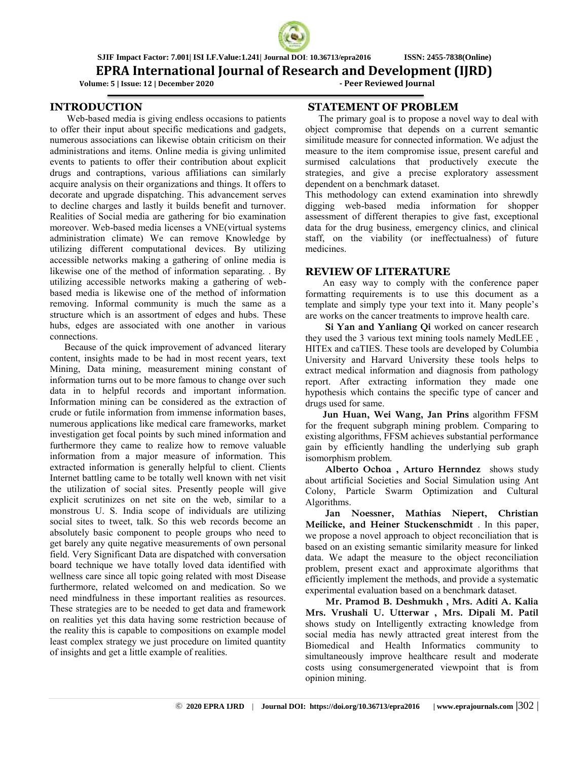## **EPRA International Journal of Research and Development (IJRD)**

 **Volume: 5 | Issue: 12 | December 2020 - Peer Reviewed Journal**

#### **INTRODUCTION**

 Web-based media is giving endless occasions to patients to offer their input about specific medications and gadgets, numerous associations can likewise obtain criticism on their administrations and items. Online media is giving unlimited events to patients to offer their contribution about explicit drugs and contraptions, various affiliations can similarly acquire analysis on their organizations and things. It offers to decorate and upgrade dispatching. This advancement serves to decline charges and lastly it builds benefit and turnover. Realities of Social media are gathering for bio examination moreover. Web-based media licenses a VNE(virtual systems administration climate) We can remove Knowledge by utilizing different computational devices. By utilizing accessible networks making a gathering of online media is likewise one of the method of information separating. . By utilizing accessible networks making a gathering of webbased media is likewise one of the method of information removing. Informal community is much the same as a structure which is an assortment of edges and hubs. These hubs, edges are associated with one another in various connections.

 Because of the quick improvement of advanced literary content, insights made to be had in most recent years, text Mining, Data mining, measurement mining constant of information turns out to be more famous to change over such data in to helpful records and important information. Information mining can be considered as the extraction of crude or futile information from immense information bases, numerous applications like medical care frameworks, market investigation get focal points by such mined information and furthermore they came to realize how to remove valuable information from a major measure of information. This extracted information is generally helpful to client. Clients Internet battling came to be totally well known with net visit the utilization of social sites. Presently people will give explicit scrutinizes on net site on the web, similar to a monstrous U. S. India scope of individuals are utilizing social sites to tweet, talk. So this web records become an absolutely basic component to people groups who need to get barely any quite negative measurements of own personal field. Very Significant Data are dispatched with conversation board technique we have totally loved data identified with wellness care since all topic going related with most Disease furthermore, related welcomed on and medication. So we need mindfulness in these important realities as resources. These strategies are to be needed to get data and framework on realities yet this data having some restriction because of the reality this is capable to compositions on example model least complex strategy we just procedure on limited quantity of insights and get a little example of realities.

#### **STATEMENT OF PROBLEM**

The primary goal is to propose a novel way to deal with object compromise that depends on a current semantic similitude measure for connected information. We adjust the measure to the item compromise issue, present careful and surmised calculations that productively execute the strategies, and give a precise exploratory assessment dependent on a benchmark dataset.

This methodology can extend examination into shrewdly digging web-based media information for shopper assessment of different therapies to give fast, exceptional data for the drug business, emergency clinics, and clinical staff, on the viability (or ineffectualness) of future medicines.

#### **REVIEW OF LITERATURE**

An easy way to comply with the conference paper formatting requirements is to use this document as a template and simply type your text into it. Many people's are works on the cancer treatments to improve health care.

**Si Yan and Yanliang Qi** worked on cancer research they used the 3 various text mining tools namely MedLEE , HITEx and caTIES. These tools are developed by Columbia University and Harvard University these tools helps to extract medical information and diagnosis from pathology report. After extracting information they made one hypothesis which contains the specific type of cancer and drugs used for same.

**Jun Huan, Wei Wang, Jan Prins** algorithm FFSM for the frequent subgraph mining problem. Comparing to existing algorithms, FFSM achieves substantial performance gain by efficiently handling the underlying sub graph isomorphism problem.

**Alberto Ochoa , Arturo Hernndez** shows study about artificial Societies and Social Simulation using Ant Colony, Particle Swarm Optimization and Cultural Algorithms.

**Jan Noessner, Mathias Niepert, Christian Meilicke, and Heiner Stuckenschmidt** . In this paper, we propose a novel approach to object reconciliation that is based on an existing semantic similarity measure for linked data. We adapt the measure to the object reconciliation problem, present exact and approximate algorithms that efficiently implement the methods, and provide a systematic experimental evaluation based on a benchmark dataset.

**Mr. Pramod B. Deshmukh , Mrs. Aditi A. Kalia Mrs. Vrushali U. Utterwar , Mrs. Dipali M. Patil** shows study on Intelligently extracting knowledge from social media has newly attracted great interest from the Biomedical and Health Informatics community to simultaneously improve healthcare result and moderate costs using consumergenerated viewpoint that is from opinion mining.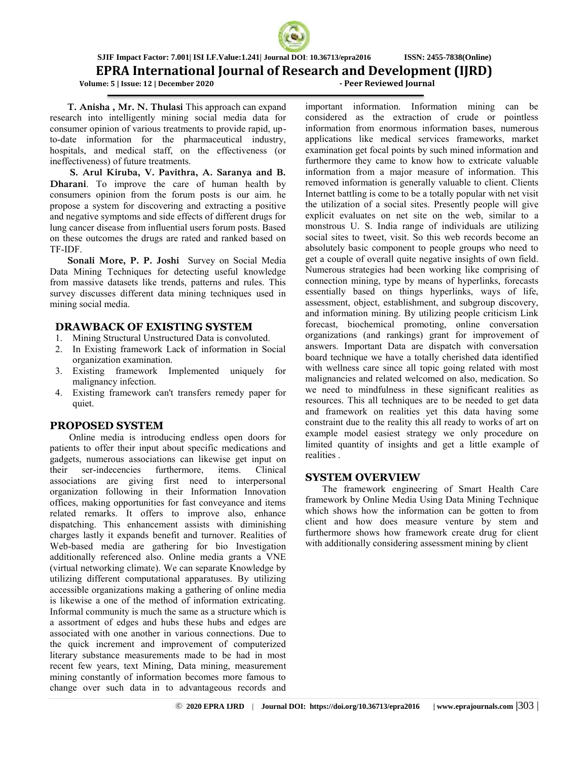

**EPRA International Journal of Research and Development (IJRD)**<br>me: 5 | Issue: 12 | December 2020<br>Peer Reviewed Journal

 **Volume: 5 | Issue: 12 | December 2020** 

**T. Anisha , Mr. N. Thulasi** This approach can expand research into intelligently mining social media data for consumer opinion of various treatments to provide rapid, upto-date information for the pharmaceutical industry, hospitals, and medical staff, on the effectiveness (or ineffectiveness) of future treatments.

**S. Arul Kiruba, V. Pavithra, A. Saranya and B. Dharani**. To improve the care of human health by consumers opinion from the forum posts is our aim. he propose a system for discovering and extracting a positive and negative symptoms and side effects of different drugs for lung cancer disease from influential users forum posts. Based on these outcomes the drugs are rated and ranked based on TF-IDF.

**Sonali More, P. P. Joshi** Survey on Social Media Data Mining Techniques for detecting useful knowledge from massive datasets like trends, patterns and rules. This survey discusses different data mining techniques used in mining social media.

#### **DRAWBACK OF EXISTING SYSTEM**

- 1. Mining Structural Unstructured Data is convoluted.
- 2. In Existing framework Lack of information in Social organization examination.
- 3. Existing framework Implemented uniquely for malignancy infection.
- 4. Existing framework can't transfers remedy paper for quiet.

#### **PROPOSED SYSTEM**

 Online media is introducing endless open doors for patients to offer their input about specific medications and gadgets, numerous associations can likewise get input on their ser-indecencies furthermore, items. Clinical associations are giving first need to interpersonal organization following in their Information Innovation offices, making opportunities for fast conveyance and items related remarks. It offers to improve also, enhance dispatching. This enhancement assists with diminishing charges lastly it expands benefit and turnover. Realities of Web-based media are gathering for bio Investigation additionally referenced also. Online media grants a VNE (virtual networking climate). We can separate Knowledge by utilizing different computational apparatuses. By utilizing accessible organizations making a gathering of online media is likewise a one of the method of information extricating. Informal community is much the same as a structure which is a assortment of edges and hubs these hubs and edges are associated with one another in various connections. Due to the quick increment and improvement of computerized literary substance measurements made to be had in most recent few years, text Mining, Data mining, measurement mining constantly of information becomes more famous to change over such data in to advantageous records and

important information. Information mining can be considered as the extraction of crude or pointless information from enormous information bases, numerous applications like medical services frameworks, market examination get focal points by such mined information and furthermore they came to know how to extricate valuable information from a major measure of information. This removed information is generally valuable to client. Clients Internet battling is come to be a totally popular with net visit the utilization of a social sites. Presently people will give explicit evaluates on net site on the web, similar to a monstrous U. S. India range of individuals are utilizing social sites to tweet, visit. So this web records become an absolutely basic component to people groups who need to get a couple of overall quite negative insights of own field. Numerous strategies had been working like comprising of connection mining, type by means of hyperlinks, forecasts essentially based on things hyperlinks, ways of life, assessment, object, establishment, and subgroup discovery, and information mining. By utilizing people criticism Link forecast, biochemical promoting, online conversation organizations (and rankings) grant for improvement of answers. Important Data are dispatch with conversation board technique we have a totally cherished data identified with wellness care since all topic going related with most malignancies and related welcomed on also, medication. So we need to mindfulness in these significant realities as resources. This all techniques are to be needed to get data and framework on realities yet this data having some constraint due to the reality this all ready to works of art on example model easiest strategy we only procedure on limited quantity of insights and get a little example of realities .

## **SYSTEM OVERVIEW**

 The framework engineering of Smart Health Care framework by Online Media Using Data Mining Technique which shows how the information can be gotten to from client and how does measure venture by stem and furthermore shows how framework create drug for client with additionally considering assessment mining by client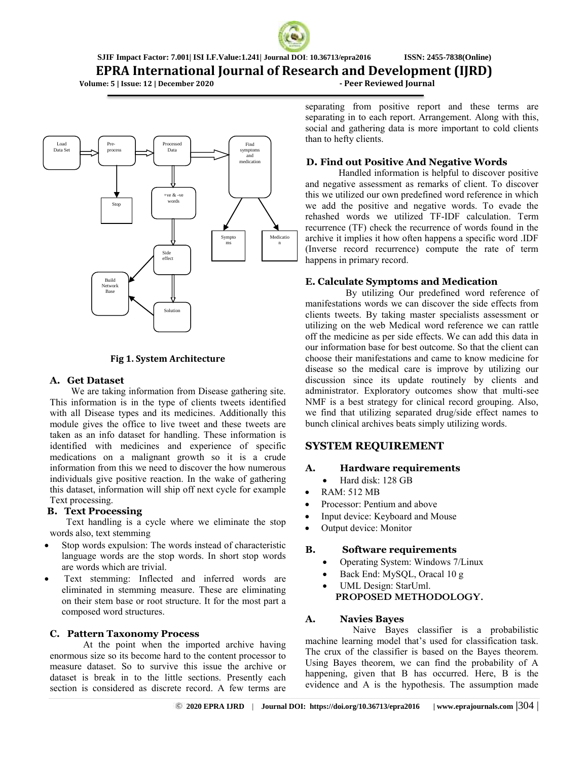

**EPRA International Journal of Research and Development (IJRD)**

 **Volume: 5 | Issue: 12 | December 2020 - Peer Reviewed Journal**



#### **Fig 1. System Architecture**

#### **A. Get Dataset**

 We are taking information from Disease gathering site. This information is in the type of clients tweets identified with all Disease types and its medicines. Additionally this module gives the office to live tweet and these tweets are taken as an info dataset for handling. These information is identified with medicines and experience of specific medications on a malignant growth so it is a crude information from this we need to discover the how numerous individuals give positive reaction. In the wake of gathering this dataset, information will ship off next cycle for example Text processing.

## **B. Text Processing**

 Text handling is a cycle where we eliminate the stop words also, text stemming

- Stop words expulsion: The words instead of characteristic language words are the stop words. In short stop words are words which are trivial.
- Text stemming: Inflected and inferred words are eliminated in stemming measure. These are eliminating on their stem base or root structure. It for the most part a composed word structures.

## **C. Pattern Taxonomy Process**

 At the point when the imported archive having enormous size so its become hard to the content processor to measure dataset. So to survive this issue the archive or dataset is break in to the little sections. Presently each section is considered as discrete record. A few terms are

separating from positive report and these terms are separating in to each report. Arrangement. Along with this, social and gathering data is more important to cold clients than to hefty clients.

## **D. Find out Positive And Negative Words**

 Handled information is helpful to discover positive and negative assessment as remarks of client. To discover this we utilized our own predefined word reference in which we add the positive and negative words. To evade the rehashed words we utilized TF-IDF calculation. Term recurrence (TF) check the recurrence of words found in the archive it implies it how often happens a specific word .IDF (Inverse record recurrence) compute the rate of term happens in primary record.

## **E. Calculate Symptoms and Medication**

 By utilizing Our predefined word reference of manifestations words we can discover the side effects from clients tweets. By taking master specialists assessment or utilizing on the web Medical word reference we can rattle off the medicine as per side effects. We can add this data in our information base for best outcome. So that the client can choose their manifestations and came to know medicine for disease so the medical care is improve by utilizing our discussion since its update routinely by clients and administrator. Exploratory outcomes show that multi-see NMF is a best strategy for clinical record grouping. Also, we find that utilizing separated drug/side effect names to bunch clinical archives beats simply utilizing words.

## **SYSTEM REQUIREMENT**

## **A. Hardware requirements**

- Hard disk: 128 GB
- RAM: 512 MB
- Processor: Pentium and above
- Input device: Keyboard and Mouse
- Output device: Monitor

## **B. Software requirements**

- Operating System: Windows 7/Linux
- Back End: MySQL, Oracal 10 g
- UML Design: StarUml. **PROPOSED METHODOLOGY.**

## **A. Navies Bayes**

 Naive Bayes classifier is a probabilistic machine learning model that's used for classification task. The crux of the classifier is based on the Bayes theorem. Using Bayes theorem, we can find the probability of A happening, given that B has occurred. Here, B is the evidence and A is the hypothesis. The assumption made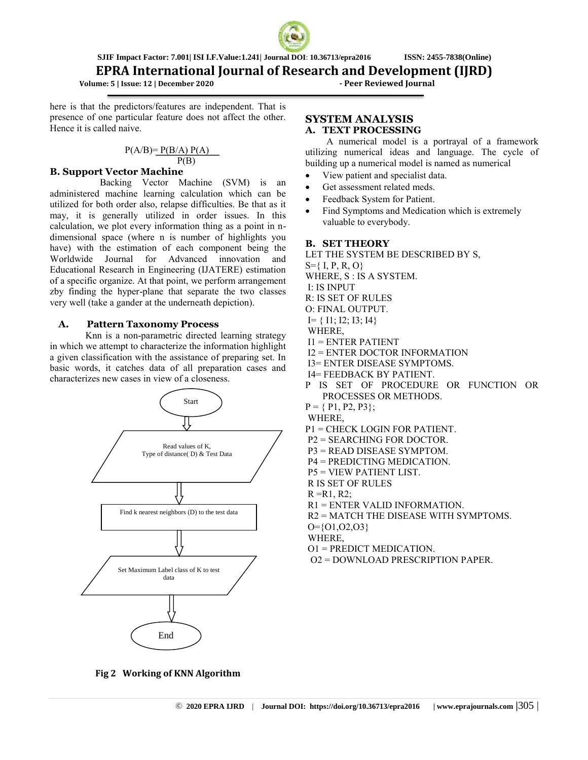

## **EPRA International Journal of Research and Development (IJRD)**

 **Volume: 5 | Issue: 12 | December 2020 - Peer Reviewed Journal**

here is that the predictors/features are independent. That is presence of one particular feature does not affect the other. Hence it is called naive.

#### $P(A/B)=P(B/A) P(A)$  $P(B)$

#### **B. Support Vector Machine**

 Backing Vector Machine (SVM) is an administered machine learning calculation which can be utilized for both order also, relapse difficulties. Be that as it may, it is generally utilized in order issues. In this calculation, we plot every information thing as a point in ndimensional space (where n is number of highlights you have) with the estimation of each component being the Worldwide Journal for Advanced innovation and Educational Research in Engineering (IJATERE) estimation of a specific organize. At that point, we perform arrangement zby finding the hyper-plane that separate the two classes very well (take a gander at the underneath depiction).

#### **A. Pattern Taxonomy Process**

 Knn is a non-parametric directed learning strategy in which we attempt to characterize the information highlight a given classification with the assistance of preparing set. In basic words, it catches data of all preparation cases and characterizes new cases in view of a closeness.



#### **SYSTEM ANALYSIS A. TEXT PROCESSING**

 A numerical model is a portrayal of a framework utilizing numerical ideas and language. The cycle of building up a numerical model is named as numerical

- View patient and specialist data.
- Get assessment related meds.
- Feedback System for Patient.
- Find Symptoms and Medication which is extremely valuable to everybody.

#### **B. SET THEORY**

- LET THE SYSTEM BE DESCRIBED BY S,
- $S = \{ I, P, R, O \}$
- WHERE, S : IS A SYSTEM.
- I: IS INPUT
- R: IS SET OF RULES
- O: FINAL OUTPUT.
- $I = \{ 11; 12; 13; 14 \}$
- WHERE,
- $I1 = ENTER$  PATIENT
- I2 = ENTER DOCTOR INFORMATION
- I3= ENTER DISEASE SYMPTOMS.
- I4= FEEDBACK BY PATIENT.
- P IS SET OF PROCEDURE OR FUNCTION OR PROCESSES OR METHODS.
- $P = \{ P1, P2, P3 \};$

WHERE,

- P1 = CHECK LOGIN FOR PATIENT.
- P2 = SEARCHING FOR DOCTOR.
- P3 = READ DISEASE SYMPTOM.
- P4 = PREDICTING MEDICATION.
- P5 = VIEW PATIENT LIST.
- R IS SET OF RULES
- $R = R1, R2$ ;
- R1 = ENTER VALID INFORMATION.
- R2 = MATCH THE DISEASE WITH SYMPTOMS.

O={O1,O2,O3}

- WHERE,
- O1 = PREDICT MEDICATION.
- O2 = DOWNLOAD PRESCRIPTION PAPER.

**Fig 2 Working of KNN Algorithm**